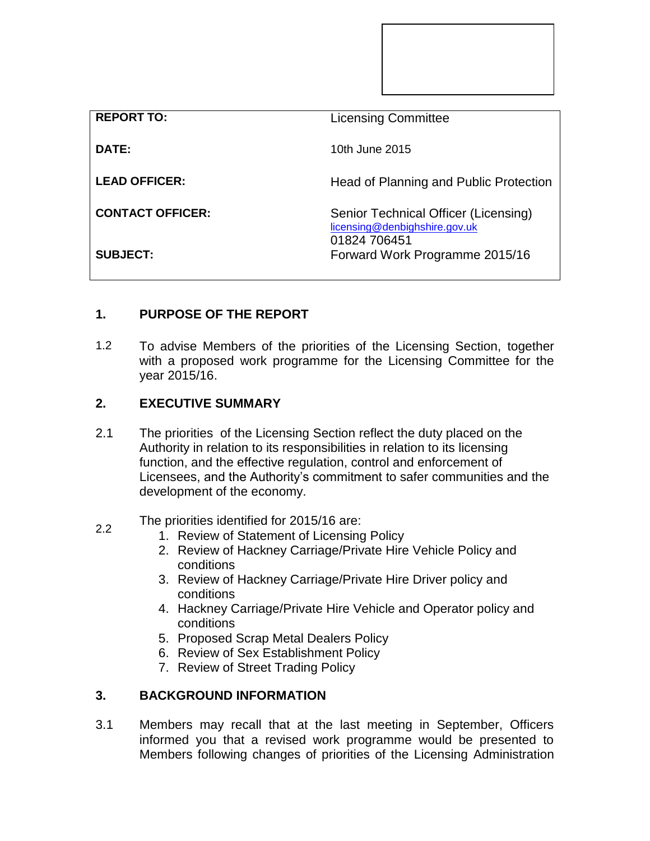| <b>REPORT TO:</b>       | <b>Licensing Committee</b>                                                            |
|-------------------------|---------------------------------------------------------------------------------------|
| DATE:                   | 10th June 2015                                                                        |
| <b>LEAD OFFICER:</b>    | Head of Planning and Public Protection                                                |
| <b>CONTACT OFFICER:</b> | Senior Technical Officer (Licensing)<br>licensing@denbighshire.gov.uk<br>01824 706451 |
| <b>SUBJECT:</b>         | Forward Work Programme 2015/16                                                        |

# **1. PURPOSE OF THE REPORT**

1.2 To advise Members of the priorities of the Licensing Section, together with a proposed work programme for the Licensing Committee for the year 2015/16.

#### **2. EXECUTIVE SUMMARY**

2.1 The priorities of the Licensing Section reflect the duty placed on the Authority in relation to its responsibilities in relation to its licensing function, and the effective regulation, control and enforcement of Licensees, and the Authority's commitment to safer communities and the development of the economy.

### 2.2 The priorities identified for 2015/16 are:

- 1. Review of Statement of Licensing Policy
- 2. Review of Hackney Carriage/Private Hire Vehicle Policy and conditions
- 3. Review of Hackney Carriage/Private Hire Driver policy and conditions
- 4. Hackney Carriage/Private Hire Vehicle and Operator policy and conditions
- 5. Proposed Scrap Metal Dealers Policy
- 6. Review of Sex Establishment Policy
- 7. Review of Street Trading Policy

#### **3. BACKGROUND INFORMATION**

3.1 Members may recall that at the last meeting in September, Officers informed you that a revised work programme would be presented to Members following changes of priorities of the Licensing Administration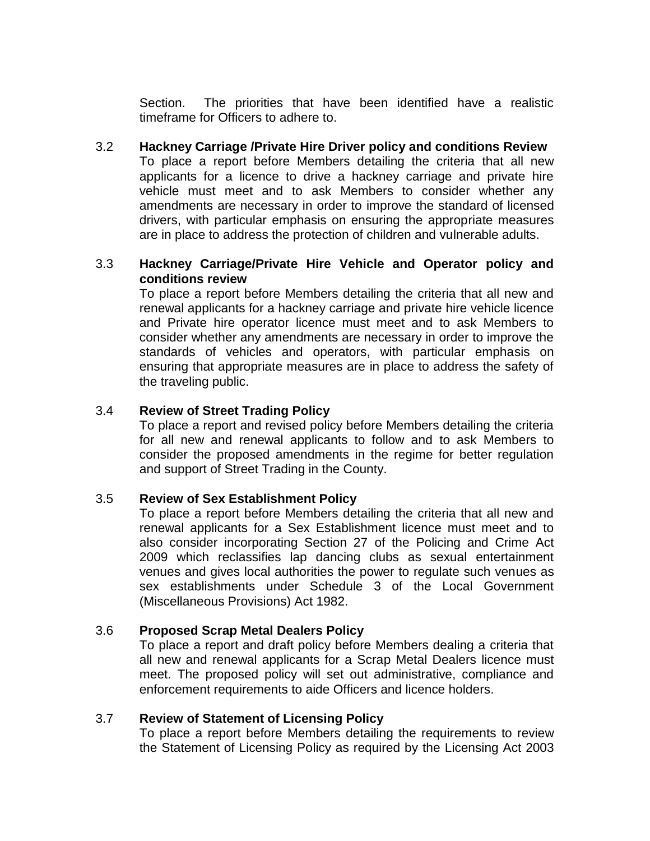Section. The priorities that have been identified have a realistic timeframe for Officers to adhere to.

3.2 **Hackney Carriage /Private Hire Driver policy and conditions Review** To place a report before Members detailing the criteria that all new applicants for a licence to drive a hackney carriage and private hire vehicle must meet and to ask Members to consider whether any amendments are necessary in order to improve the standard of licensed drivers, with particular emphasis on ensuring the appropriate measures are in place to address the protection of children and vulnerable adults.

## 3.3 **Hackney Carriage/Private Hire Vehicle and Operator policy and conditions review**

To place a report before Members detailing the criteria that all new and renewal applicants for a hackney carriage and private hire vehicle licence and Private hire operator licence must meet and to ask Members to consider whether any amendments are necessary in order to improve the standards of vehicles and operators, with particular emphasis on ensuring that appropriate measures are in place to address the safety of the traveling public.

#### 3.4 **Review of Street Trading Policy**

To place a report and revised policy before Members detailing the criteria for all new and renewal applicants to follow and to ask Members to consider the proposed amendments in the regime for better regulation and support of Street Trading in the County.

#### 3.5 **Review of Sex Establishment Policy**

To place a report before Members detailing the criteria that all new and renewal applicants for a Sex Establishment licence must meet and to also consider incorporating Section 27 of the Policing and Crime Act 2009 which reclassifies lap dancing clubs as sexual entertainment venues and gives local authorities the power to regulate such venues as sex establishments under Schedule 3 of the Local Government (Miscellaneous Provisions) Act 1982.

#### 3.6 **Proposed Scrap Metal Dealers Policy**

To place a report and draft policy before Members dealing a criteria that all new and renewal applicants for a Scrap Metal Dealers licence must meet. The proposed policy will set out administrative, compliance and enforcement requirements to aide Officers and licence holders.

#### 3.7 **Review of Statement of Licensing Policy**

To place a report before Members detailing the requirements to review the Statement of Licensing Policy as required by the Licensing Act 2003